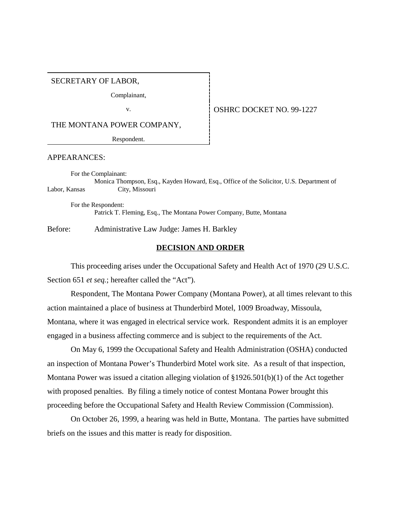#### SECRETARY OF LABOR,

Complainant,

v. **CONFIDENT OSHRC DOCKET NO. 99-1227** 

THE MONTANA POWER COMPANY,

Respondent.

#### APPEARANCES:

For the Complainant: Monica Thompson, Esq., Kayden Howard, Esq., Office of the Solicitor, U.S. Department of Labor, Kansas City, Missouri

For the Respondent: Patrick T. Fleming, Esq., The Montana Power Company, Butte, Montana

Before: Administrative Law Judge: James H. Barkley

#### **DECISION AND ORDER**

This proceeding arises under the Occupational Safety and Health Act of 1970 (29 U.S.C. Section 651 *et seq.*; hereafter called the "Act").

Respondent, The Montana Power Company (Montana Power), at all times relevant to this action maintained a place of business at Thunderbird Motel, 1009 Broadway, Missoula, Montana, where it was engaged in electrical service work. Respondent admits it is an employer engaged in a business affecting commerce and is subject to the requirements of the Act.

On May 6, 1999 the Occupational Safety and Health Administration (OSHA) conducted an inspection of Montana Power's Thunderbird Motel work site. As a result of that inspection, Montana Power was issued a citation alleging violation of §1926.501(b)(1) of the Act together with proposed penalties. By filing a timely notice of contest Montana Power brought this proceeding before the Occupational Safety and Health Review Commission (Commission).

On October 26, 1999, a hearing was held in Butte, Montana. The parties have submitted briefs on the issues and this matter is ready for disposition.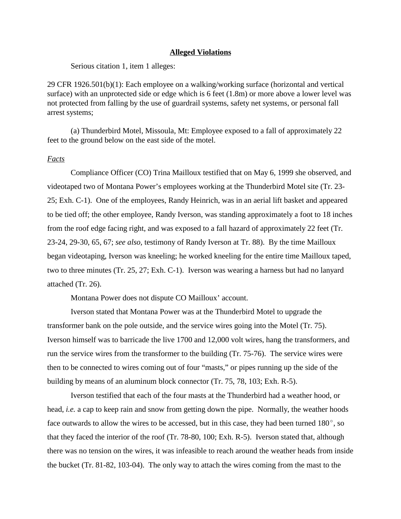## **Alleged Violations**

Serious citation 1, item 1 alleges:

29 CFR 1926.501(b)(1): Each employee on a walking/working surface (horizontal and vertical surface) with an unprotected side or edge which is 6 feet (1.8m) or more above a lower level was not protected from falling by the use of guardrail systems, safety net systems, or personal fall arrest systems;

(a) Thunderbird Motel, Missoula, Mt: Employee exposed to a fall of approximately 22 feet to the ground below on the east side of the motel.

## *Facts*

Compliance Officer (CO) Trina Mailloux testified that on May 6, 1999 she observed, and videotaped two of Montana Power's employees working at the Thunderbird Motel site (Tr. 23- 25; Exh. C-1). One of the employees, Randy Heinrich, was in an aerial lift basket and appeared to be tied off; the other employee, Randy Iverson, was standing approximately a foot to 18 inches from the roof edge facing right, and was exposed to a fall hazard of approximately 22 feet (Tr. 23-24, 29-30, 65, 67; *see also,* testimony of Randy Iverson at Tr. 88). By the time Mailloux began videotaping, Iverson was kneeling; he worked kneeling for the entire time Mailloux taped, two to three minutes (Tr. 25, 27; Exh. C-1). Iverson was wearing a harness but had no lanyard attached (Tr. 26).

Montana Power does not dispute CO Mailloux' account.

Iverson stated that Montana Power was at the Thunderbird Motel to upgrade the transformer bank on the pole outside, and the service wires going into the Motel (Tr. 75). Iverson himself was to barricade the live 1700 and 12,000 volt wires, hang the transformers, and run the service wires from the transformer to the building (Tr. 75-76). The service wires were then to be connected to wires coming out of four "masts," or pipes running up the side of the building by means of an aluminum block connector (Tr. 75, 78, 103; Exh. R-5).

Iverson testified that each of the four masts at the Thunderbird had a weather hood, or head, *i.e.* a cap to keep rain and snow from getting down the pipe. Normally, the weather hoods face outwards to allow the wires to be accessed, but in this case, they had been turned  $180^{\circ}$ , so that they faced the interior of the roof (Tr. 78-80, 100; Exh. R-5). Iverson stated that, although there was no tension on the wires, it was infeasible to reach around the weather heads from inside the bucket (Tr. 81-82, 103-04). The only way to attach the wires coming from the mast to the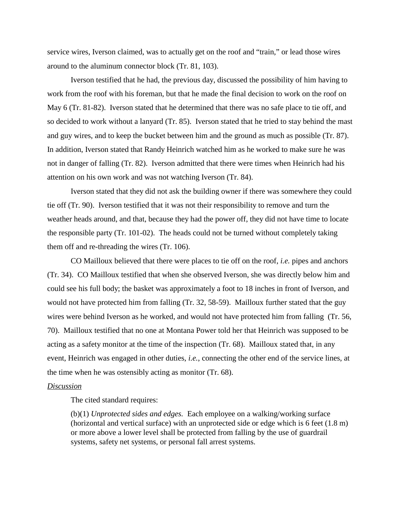service wires, Iverson claimed, was to actually get on the roof and "train," or lead those wires around to the aluminum connector block (Tr. 81, 103).

Iverson testified that he had, the previous day, discussed the possibility of him having to work from the roof with his foreman, but that he made the final decision to work on the roof on May 6 (Tr. 81-82). Iverson stated that he determined that there was no safe place to tie off, and so decided to work without a lanyard (Tr. 85). Iverson stated that he tried to stay behind the mast and guy wires, and to keep the bucket between him and the ground as much as possible (Tr. 87). In addition, Iverson stated that Randy Heinrich watched him as he worked to make sure he was not in danger of falling (Tr. 82). Iverson admitted that there were times when Heinrich had his attention on his own work and was not watching Iverson (Tr. 84).

Iverson stated that they did not ask the building owner if there was somewhere they could tie off (Tr. 90). Iverson testified that it was not their responsibility to remove and turn the weather heads around, and that, because they had the power off, they did not have time to locate the responsible party (Tr. 101-02). The heads could not be turned without completely taking them off and re-threading the wires (Tr. 106).

CO Mailloux believed that there were places to tie off on the roof, *i.e.* pipes and anchors (Tr. 34). CO Mailloux testified that when she observed Iverson, she was directly below him and could see his full body; the basket was approximately a foot to 18 inches in front of Iverson, and would not have protected him from falling (Tr. 32, 58-59). Mailloux further stated that the guy wires were behind Iverson as he worked, and would not have protected him from falling (Tr. 56, 70). Mailloux testified that no one at Montana Power told her that Heinrich was supposed to be acting as a safety monitor at the time of the inspection (Tr. 68). Mailloux stated that, in any event, Heinrich was engaged in other duties, *i.e.*, connecting the other end of the service lines, at the time when he was ostensibly acting as monitor (Tr. 68).

### *Discussion*

The cited standard requires:

(b)(1) *Unprotected sides and edges.* Each employee on a walking/working surface (horizontal and vertical surface) with an unprotected side or edge which is 6 feet (1.8 m) or more above a lower level shall be protected from falling by the use of guardrail systems, safety net systems, or personal fall arrest systems.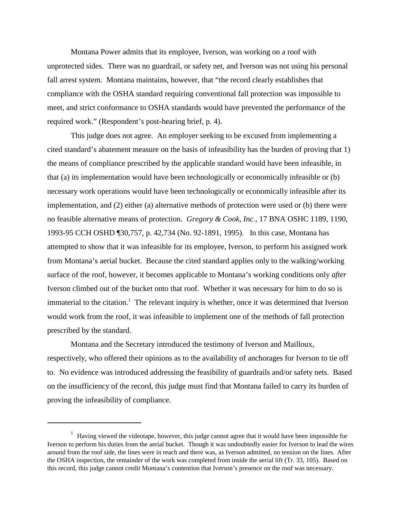Montana Power admits that its employee, Iverson, was working on a roof with unprotected sides. There was no guardrail, or safety net, and Iverson was not using his personal fall arrest system. Montana maintains, however, that "the record clearly establishes that compliance with the OSHA standard requiring conventional fall protection was impossible to meet, and strict conformance to OSHA standards would have prevented the performance of the required work." (Respondent's post-hearing brief, p. 4).

This judge does not agree. An employer seeking to be excused from implementing a cited standard's abatement measure on the basis of infeasibility has the burden of proving that 1) the means of compliance prescribed by the applicable standard would have been infeasible, in that (a) its implementation would have been technologically or economically infeasible or (b) necessary work operations would have been technologically or economically infeasible after its implementation, and (2) either (a) alternative methods of protection were used or (b) there were no feasible alternative means of protection. *Gregory & Cook, Inc.,* 17 BNA OSHC 1189, 1190, 1993-95 CCH OSHD ¶30,757, p. 42,734 (No. 92-1891, 1995). In this case, Montana has attempted to show that it was infeasible for its employee, Iverson, to perform his assigned work from Montana's aerial bucket. Because the cited standard applies only to the walking/working surface of the roof, however, it becomes applicable to Montana's working conditions only *after* Iverson climbed out of the bucket onto that roof. Whether it was necessary for him to do so is immaterial to the citation.<sup>1</sup> The relevant inquiry is whether, once it was determined that Iverson would work from the roof, it was infeasible to implement one of the methods of fall protection prescribed by the standard.

Montana and the Secretary introduced the testimony of Iverson and Mailloux, respectively, who offered their opinions as to the availability of anchorages for Iverson to tie off to. No evidence was introduced addressing the feasibility of guardrails and/or safety nets. Based on the insufficiency of the record, this judge must find that Montana failed to carry its burden of proving the infeasibility of compliance.

<sup>&</sup>lt;sup>1</sup> Having viewed the videotape, however, this judge cannot agree that it would have been impossible for Iverson to perform his duties from the aerial bucket. Though it was undoubtedly easier for Iverson to lead the wires around from the roof side, the lines were in reach and there was, as Iverson admitted, no tension on the lines. After the OSHA inspection, the remainder of the work was completed from inside the aerial lift (Tr. 33, 105). Based on this record, this judge cannot credit Montana's contention that Iverson's presence on the roof was necessary.